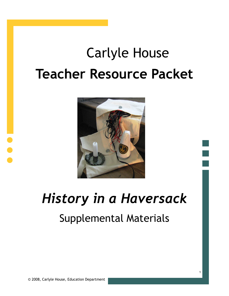# Carlyle House **Teacher Resource Packet**



## *History in a Haversack*

## Supplemental Materials

1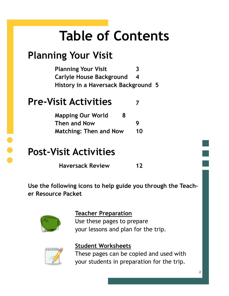## **Table of Contents**

## **Planning Your Visit**

**Planning Your Visit 3 Carlyle House Background 4 History in a Haversack Background 5**

### **Pre-Visit Activities**

| <b>Mapping Our World</b><br>8 |    |
|-------------------------------|----|
| <b>Then and Now</b>           | g  |
| <b>Matching: Then and Now</b> | 10 |

### **Post-Visit Activities**

 **Haversack Review <sup>12</sup>**

**Use the following icons to help guide you through the Teacher Resource Packet.** 



#### **Teacher Preparation**

Use these pages to prepare your lessons and plan for the trip.



#### **Student Worksheets**

These pages can be copied and used with your students in preparation for the trip.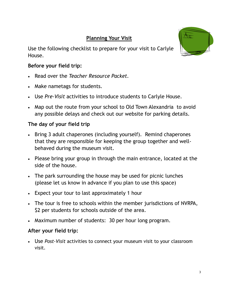#### **Planning Your Visit**

Use the following checklist to prepare for your visit to Carlyle House.



- Read over the *Teacher Resource Packet.*
- Make nametags for students.
- Use *Pre-Visit* activities to introduce students to Carlyle House.
- Map out the route from your school to Old Town Alexandria to avoid any possible delays and check out our website for parking details.

#### **The day of your field trip**

- Bring 3 adult chaperones (including yourself). Remind chaperones that they are responsible for keeping the group together and wellbehaved during the museum visit.
- Please bring your group in through the main entrance, located at the side of the house.
- The park surrounding the house may be used for picnic lunches (please let us know in advance if you plan to use this space)
- Expect your tour to last approximately 1 hour
- The tour is free to schools within the member jurisdictions of NVRPA, \$2 per students for schools outside of the area.
- Maximum number of students: 30 per hour long program.

#### **After your field trip:**

 Use *Post-Visit* activities to connect your museum visit to your classroom visit.

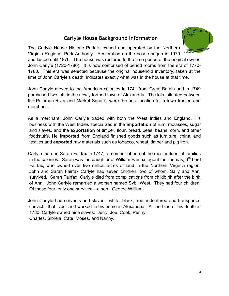#### **Carlyle House Background Information**



The Carlyle House Historic Park is owned and operated by the Northern Virginia Regional Park Authority. Restoration on the house began in 1970 and lasted until 1976. The house was restored to the time period of the original owner, John Carlyle (1720-1780). It is now comprised of period rooms from the era of 1770- 1780. This era was selected because the original household inventory, taken at the time of John Carlyle's death, indicates exactly what was in the house at that time.

John Carlyle moved to the American colonies in 1741 from Great Britain and in 1749 purchased two lots in the newly formed town of Alexandria. The lots, situated between the Potomac River and Market Square, were the best location for a town trustee and merchant.

As a merchant, John Carlyle traded with both the West Indies and England. His business with the West Indies specialized in the **importation** of rum, molasses, sugar and slaves, and the **exportation** of timber, flour, bread, peas, beans, corn, and other foodstuffs. He **imported** from England finished goods such as furniture, china, and textiles and **exported** raw materials such as tobacco, wheat, timber and pig iron.

Carlyle married Sarah Fairfax in 1747, a member of one of the most influential families in the colonies. Sarah was the daughter of William Fairfax, agent for Thomas,  $6<sup>th</sup>$  Lord Fairfax, who owned over five million acres of land in the Northern Virginia region. John and Sarah Fairfax Carlyle had seven children, two of whom, Sally and Ann, survived. Sarah Fairfax Carlyle died from complications from childbirth after the birth of Ann. John Carlyle remarried a woman named Sybil West. They had four children. Of those four, only one survived—a son, George William.

John Carlyle had servants and slaves—white, black, free, indentured and transported convict—that lived and worked in his home in Alexandria. At the time of his death in 1780, Carlyle owned nine slaves: Jerry, Joe, Cook, Penny, Charles, Sibreia, Cate, Moses, and Nanny.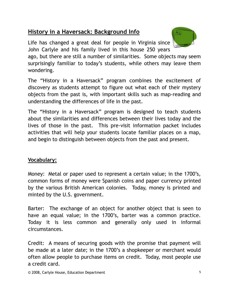#### **History in a Haversack: Background Info**

Life has changed a great deal for people in Virginia since John Carlyle and his family lived in this house 250 years



ago, but there are still a number of similarities. Some objects may seem surprisingly familiar to today's students, while others may leave them wondering.

The "History in a Haversack" program combines the excitement of discovery as students attempt to figure out what each of their mystery objects from the past is, with important skills such as map-reading and understanding the differences of life in the past.

The "History in a Haversack" program is designed to teach students about the similarities and differences between their lives today and the lives of those in the past. This pre-visit information packet includes activities that will help your students locate familiar places on a map, and begin to distinguish between objects from the past and present.

#### **Vocabulary:**

Money: Metal or paper used to represent a certain value; in the 1700's, common forms of money were Spanish coins and paper currency printed by the various British American colonies. Today, money is printed and minted by the U.S. government.

Barter: The exchange of an object for another object that is seen to have an equal value; in the 1700's, barter was a common practice. Today it is less common and generally only used in informal circumstances.

Credit: A means of securing goods with the promise that payment will be made at a later date; in the 1700's a shopkeeper or merchant would often allow people to purchase items on credit. Today, most people use a credit card.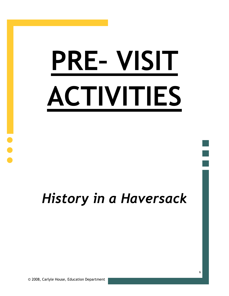# **PRE– VISIT ACTIVITIES**

## *History in a Haversack*

© 2008, Carlyle House, Education Department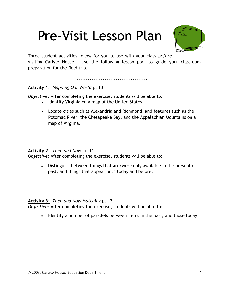## Pre-Visit Lesson Plan



Three student activities follow for you to use with your class *before*  visiting Carlyle House. Use the following lesson plan to guide your classroom preparation for the field trip.

**Activity 1:** *Mapping Our World* p. 10

*Objective:* After completing the exercise, students will be able to:

- Identify Virginia on a map of the United States.
- Locate cities such as Alexandria and Richmond, and features such as the Potomac River, the Chesapeake Bay, and the Appalachian Mountains on a map of Virginia.

#### **Activity 2:** *Then and Now* p. 11

*Objective:* After completing the exercise, students will be able to:

 Distinguish between things that are/were only available in the present or past, and things that appear both today and before.

#### **Activity 3:** *Then and Now Matching* p. 12

*Objective:* After completing the exercise, students will be able to:

• Identify a number of parallels between items in the past, and those today.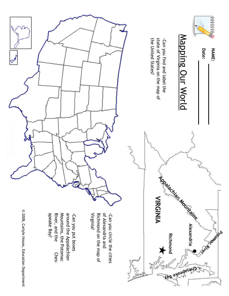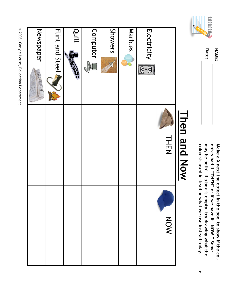© 2008, Carlyle House, Education Department © 2008, Carlyle House, Education Department

| MONICII GIIO IAOM                                          |     |
|------------------------------------------------------------|-----|
| <b>THEN</b>                                                | MON |
| Electricity<br>$\overline{\mathbf{\Theta}\cdot\mathbf{E}}$ |     |
| <b>Marbles</b>                                             |     |
| Showers                                                    |     |
| <b>Computer</b><br><b>CHIPPE</b>                           |     |
| lduill<br>''il <sub>k</sub> ir'''                          |     |
| Flint and Steel<br>R                                       |     |
| Newspaper                                                  |     |

onists had it "THEN" or if we have it "NOW." Some colonists used instead or what we use instead today. may be both! If a box is empty, try drawing what the Make a X next the object in the box, to show if the col-**Make a X next the object in the box, to show if the colcolonists used instead or what we use instead today. may be both! If a box is empty, try drawing what the onists had it "THEN" or if we have it "NOW." Some** 

9

# **Than Mon Now Then and Now**



**Date:** 

**NAME:**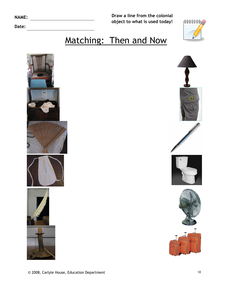| <b>NAME:</b> |  |  |
|--------------|--|--|
|              |  |  |
|              |  |  |

**Date:** 

**Draw a line from the colonial object to what is used today!** 



## Matching: Then and Now











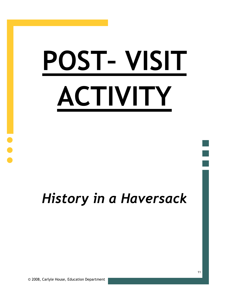# **POST– VISIT ACTIVITY**

## *History in a Haversack*

© 2008, Carlyle House, Education Department